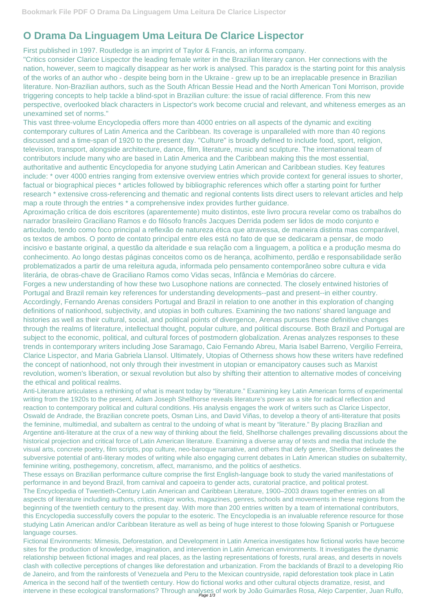## **O Drama Da Linguagem Uma Leitura De Clarice Lispector**

First published in 1997. Routledge is an imprint of Taylor & Francis, an informa company.

"Critics consider Clarice Lispector the leading female writer in the Brazilian literary canon. Her connections with the nation, however, seem to magically disappear as her work is analysed. This paradox is the starting point for this analysis of the works of an author who - despite being born in the Ukraine - grew up to be an irreplacable presence in Brazilian literature. Non-Brazilian authors, such as the South African Bessie Head and the North American Toni Morrison, provide triggering concepts to help tackle a blind-spot in Brazilian culture: the issue of racial difference. From this new perspective, overlooked black characters in Lispector's work become crucial and relevant, and whiteness emerges as an unexamined set of norms."

This vast three-volume Encyclopedia offers more than 4000 entries on all aspects of the dynamic and exciting contemporary cultures of Latin America and the Caribbean. Its coverage is unparalleled with more than 40 regions discussed and a time-span of 1920 to the present day. "Culture" is broadly defined to include food, sport, religion, television, transport, alongside architecture, dance, film, literature, music and sculpture. The international team of contributors include many who are based in Latin America and the Caribbean making this the most essential, authoritative and authentic Encyclopedia for anyone studying Latin American and Caribbean studies. Key features include: \* over 4000 entries ranging from extensive overview entries which provide context for general issues to shorter, factual or biographical pieces \* articles followed by bibliographic references which offer a starting point for further research \* extensive cross-referencing and thematic and regional contents lists direct users to relevant articles and help map a route through the entries \* a comprehensive index provides further guidance.

Aproximação crítica de dois escritores (aparentemente) muito distintos, este livro procura revelar como os trabalhos do narrador brasileiro Graciliano Ramos e do filósofo francês Jacques Derrida podem ser lidos de modo conjunto e articulado, tendo como foco principal a reflexão de natureza ética que atravessa, de maneira distinta mas comparável, os textos de ambos. O ponto de contato principal entre eles está no fato de que se dedicaram a pensar, de modo incisivo e bastante original, a questão da alteridade e sua relação com a linguagem, a política e a produção mesma do conhecimento. Ao longo destas páginas conceitos como os de herança, acolhimento, perdão e responsabilidade serão problematizados a partir de uma releitura aguda, informada pelo pensamento contemporâneo sobre cultura e vida literária, de obras-chave de Graciliano Ramos como Vidas secas, Infância e Memórias do cárcere.

Fictional Environments: Mimesis, Deforestation, and Development in Latin America investigates how fictional works have become sites for the production of knowledge, imagination, and intervention in Latin American environments. It investigates the dynamic relationship between fictional images and real places, as the lasting representations of forests, rural areas, and deserts in novels clash with collective perceptions of changes like deforestation and urbanization. From the backlands of Brazil to a developing Rio de Janeiro, and from the rainforests of Venezuela and Peru to the Mexican countryside, rapid deforestation took place in Latin America in the second half of the twentieth century. How do fictional works and other cultural objects dramatize, resist, and intervene in these ecological transformations? Through analyses of work by João Guimarães Rosa, Alejo Carpentier, Juan Rulfo,

Forges a new understanding of how these two Lusophone nations are connected. The closely entwined histories of Portugal and Brazil remain key references for understanding developments--past and present--in either country. Accordingly, Fernando Arenas considers Portugal and Brazil in relation to one another in this exploration of changing definitions of nationhood, subjectivity, and utopias in both cultures. Examining the two nations' shared language and histories as well as their cultural, social, and political points of divergence, Arenas pursues these definitive changes through the realms of literature, intellectual thought, popular culture, and political discourse. Both Brazil and Portugal are subject to the economic, political, and cultural forces of postmodern globalization. Arenas analyzes responses to these trends in contemporary writers including Jose Saramago, Caio Fernando Abreu, Maria Isabel Barreno, Vergilio Ferreira, Clarice Lispector, and Maria Gabriela Llansol. Ultimately, Utopias of Otherness shows how these writers have redefined the concept of nationhood, not only through their investment in utopian or emancipatory causes such as Marxist revolution, women's liberation, or sexual revolution but also by shifting their attention to alternative modes of conceiving the ethical and political realms.

Anti-Literature articulates a rethinking of what is meant today by "literature." Examining key Latin American forms of experimental writing from the 1920s to the present, Adam Joseph Shellhorse reveals literature's power as a site for radical reflection and reaction to contemporary political and cultural conditions. His analysis engages the work of writers such as Clarice Lispector, Oswald de Andrade, the Brazilian concrete poets, Osman Lins, and David Viñas, to develop a theory of anti-literature that posits the feminine, multimedial, and subaltern as central to the undoing of what is meant by "literature." By placing Brazilian and Argentine anti-literature at the crux of a new way of thinking about the field, Shellhorse challenges prevailing discussions about the historical projection and critical force of Latin American literature. Examining a diverse array of texts and media that include the visual arts, concrete poetry, film scripts, pop culture, neo-baroque narrative, and others that defy genre, Shellhorse delineates the subversive potential of anti-literary modes of writing while also engaging current debates in Latin American studies on subalternity,

feminine writing, posthegemony, concretism, affect, marranismo, and the politics of aesthetics.

These essays on Brazilian performance culture comprise the first English-language book to study the varied manifestations of performance in and beyond Brazil, from carnival and capoeira to gender acts, curatorial practice, and political protest. The Encyclopedia of Twentieth-Century Latin American and Caribbean Literature, 1900–2003 draws together entries on all aspects of literature including authors, critics, major works, magazines, genres, schools and movements in these regions from the beginning of the twentieth century to the present day. With more than 200 entries written by a team of international contributors, this Encyclopedia successfully covers the popular to the esoteric. The Encyclopedia is an invaluable reference resource for those studying Latin American and/or Caribbean literature as well as being of huge interest to those folowing Spanish or Portuguese language courses.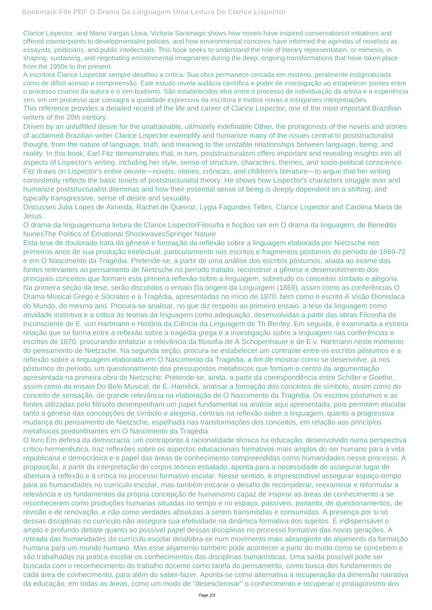Clarice Lispector, and Mario Vargas Llosa, Victoria Saramago shows how novels have inspired conservationist initiatives and offered counterpoints to developmentalist policies, and how environmental concerns have informed the agendas of novelists as essayists, politicians, and public intellectuals. This book seeks to understand the role of literary representation, or mimesis, in shaping, sustaining, and negotiating environmental imaginaries during the deep, ongoing transformations that have taken place from the 1950s to the present.

A escritora Clarice Lispector sempre desafiou a crítica. Sua obra permanece cercada em mistério, geralmente estigmatizada como de difícil acesso e compreensão. Este estudo revela audácia científica e poder de investigação ao estabelecer pontes entre o processo criativo da autora e o zen-budismo. São estabelecidos elos entre o processo de individuação da artista e a experiência zen, em um processo que consagra a qualidade expressiva da escritora e motiva novas e instigantes interpretações. This reference provides a detailed record of the life and career of Clarice Lispector, one of the most important Brazillian writers of the 20th century.

Driven by an unfulfilled desire for the unattainable, ultimately indefinable Other, the protagonists of the novels and stories of acclaimed Brazilian writer Clarice Lispector exemplify and humanize many of the issues central to poststructuralist thought, from the nature of language, truth, and meaning to the unstable relationships between language, being, and reality. In this book, Earl Fitz demonstrates that, in turn, poststructuralism offers important and revealing insights into all aspects of Lispector's writing, including her style, sense of structure, characters, themes, and socio-political conscience. Fitz draws on Lispector's entire oeuvre—novels, stories, crônicas, and children's literature—to argue that her writing consistently reflects the basic tenets of poststructuralist theory. He shows how Lispector's characters struggle over and humanize poststructuralist dilemmas and how their essential sense of being is deeply dependent on a shifting, and typically transgressive, sense of desire and sexuality.

Discusses Julia Lopes de Almeida, Rachel de Queiroz, Lygia Fagundes Telles, Clarice Lispector and Carolina Maria de Jesus.

O drama da linguagemuma leitura de Clarice LispectorFilosofia e ficçãoo ser em O drama da linguagem, de Benedito NunesThe Politics of Emotional ShockwavesSpringer Nature

Esta tese de doutorado trata da gênese e formação da reflexão sobre a linguagem elaborada por Nietzsche nos primeiros anos de sua produção intelectual, particularmente nos escritos e fragmentos póstumos do período de 1869-72 e em O Nascimento da Tragédia. Pretende-se, a partir de uma análise dos escritos póstumos, aliada ao exame das fontes relevantes ao pensamento de Nietzsche no período tratado, reconstruir a gênese e desenvolvimento dos principais conceitos que formam esta primeira reflexão sobre a linguagem, sobretudo os conceitos símbolo e alegoria. Na primeira seção da tese, serão discutidos o ensaio Da origem da Linguagem (1869), assim como as conferências O Drama Musical Grego e Sócrates e a Tragédia, apresentadas no início de 1870, bem como o escrito A Visão DionisÍaca do Mundo, do mesmo ano. Procura-se analisar, no que diz respeito ao primeiro ensaio, a tese da linguagem como atividade instintiva e a critica às teorias da linguagem como adequação, desenvolvidas a partir das obras Filosofia do Inconsciente de E. von Hartmann e História da Ciência da Linguagem de Th Benfey. Em seguida, é examinada a estreita relação que se forma entre a reflexão sobre a tragédia grega e a investigação sobre a linguagem nas conferências e escritos de 1870, procurando enfatizar a relevância da filosofia de A Schopenhauer e de E.v. Hartmann neste momento do pensamento de Nietzsche. Na segunda seção, procura-se estabelecer um contraste entre os escritos póstumos e a reflexão sobre a linguagem elaborada em O Nascimento da Tragédia, a fim de mostrar como se desenvolve, já nos póstumos do período, um questionamento dos pressupostos metafisicos que fomiam o centro da argumentação apresentada na primeira obra de Nietzsche. Pretende-se, ainda, a partir da correspondência entre Schiller e Goethe, assim como do ensaio Do Belo Musical, de E. Hanslick, analisar a formação dos conceitos de símbolo, assim como do conceito de sensação, de grande relevância na elaboração de O Nascimento da Tragédia. Os escritos póstumos e as fontes utilizadas pelo filósofo desempenham um papel fundamental na análise aqui apresentada, pois permitem elucidar tanto a gênese das concepções de símbolo e alegoria, centrais na reflexão sobre a linguagem, quanto a progressiva mudança do pensamento de Nietzsche, espelhada nas transformações dos conceitos, em relação aos princípios metafisicos predonllnantes em O Nascimento da Tragédia.

O livro Em defesa da democracia: um contraponto à racionalidade técnica na educação, desenvolvido numa perspectiva crítico-hermenêutica, traz reflexões sobre os aspectos educacionais formativos mais amplos do ser humano para a vida republicana e democrática e o papel das áreas de conhecimento compreendidas como humanidades nesse processo. A proposição, a partir da interpretação do corpus teórico estudado, aponta para a necessidade de assegurar lugar de abertura à reflexão e à crítica no processo formativo escolar. Nesse sentido, é imprescindível assegurar espaço-tempo para as humanidades no currículo escolar, mas também encarar o desafio de reconsiderar, reexaminar e reformular a relevância e os fundamentos da própria concepção de humanismo capaz de inspirar as áreas de conhecimento a se reconhecerem como produções humanas situadas no tempo e no espaço, passíveis, portanto, de questionamentos, de revisão e de renovação, e não como verdades absolutas a serem transmitidas e consumidas. A presença por si só dessas disciplinas no currículo não assegura sua efetividade na dinâmica formativa dos sujeitos. É indispensável o amplo e profundo debate quanto ao possível papel dessas disciplinas no processo formativo das novas gerações. A retirada das humanidades do currículo escolar desdobra-se num movimento mais abrangente de alijamento da formação humana para um mundo humano. Mas esse alijamento também pode acontecer a partir do modo como se concebem e são trabalhados na prática escolar os conhecimentos das disciplinas humanísticas. Uma saída possível pode ser buscada com o reconhecimento do trabalho docente como tarefa do pensamento, como busca dos fundamentos de cada área de conhecimento, para além do saber-fazer. Aponta-se como alternativa a recuperação da dimensão narrativa da educação, em todas as áreas, como um modo de "desesclerosar" o conhecimento e recuperar o protagonismo dos